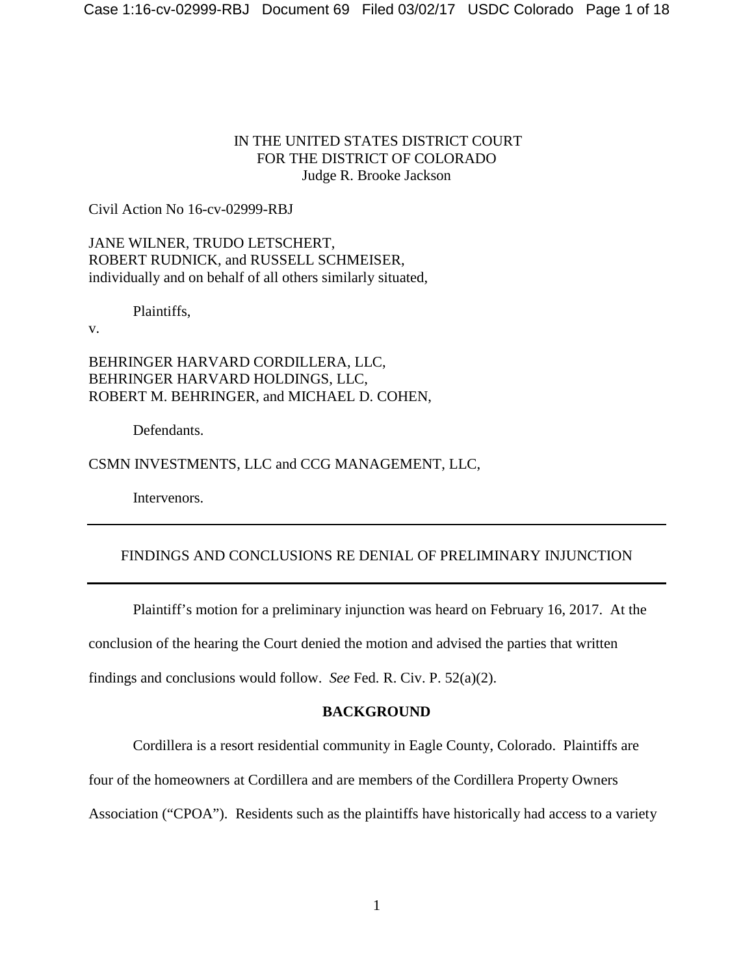## IN THE UNITED STATES DISTRICT COURT FOR THE DISTRICT OF COLORADO Judge R. Brooke Jackson

Civil Action No 16-cv-02999-RBJ

JANE WILNER, TRUDO LETSCHERT, ROBERT RUDNICK, and RUSSELL SCHMEISER, individually and on behalf of all others similarly situated,

Plaintiffs,

v.

BEHRINGER HARVARD CORDILLERA, LLC, BEHRINGER HARVARD HOLDINGS, LLC, ROBERT M. BEHRINGER, and MICHAEL D. COHEN,

Defendants.

CSMN INVESTMENTS, LLC and CCG MANAGEMENT, LLC,

Intervenors.

# FINDINGS AND CONCLUSIONS RE DENIAL OF PRELIMINARY INJUNCTION

Plaintiff's motion for a preliminary injunction was heard on February 16, 2017. At the conclusion of the hearing the Court denied the motion and advised the parties that written findings and conclusions would follow. *See* Fed. R. Civ. P. 52(a)(2).

## **BACKGROUND**

Cordillera is a resort residential community in Eagle County, Colorado. Plaintiffs are

four of the homeowners at Cordillera and are members of the Cordillera Property Owners

Association ("CPOA"). Residents such as the plaintiffs have historically had access to a variety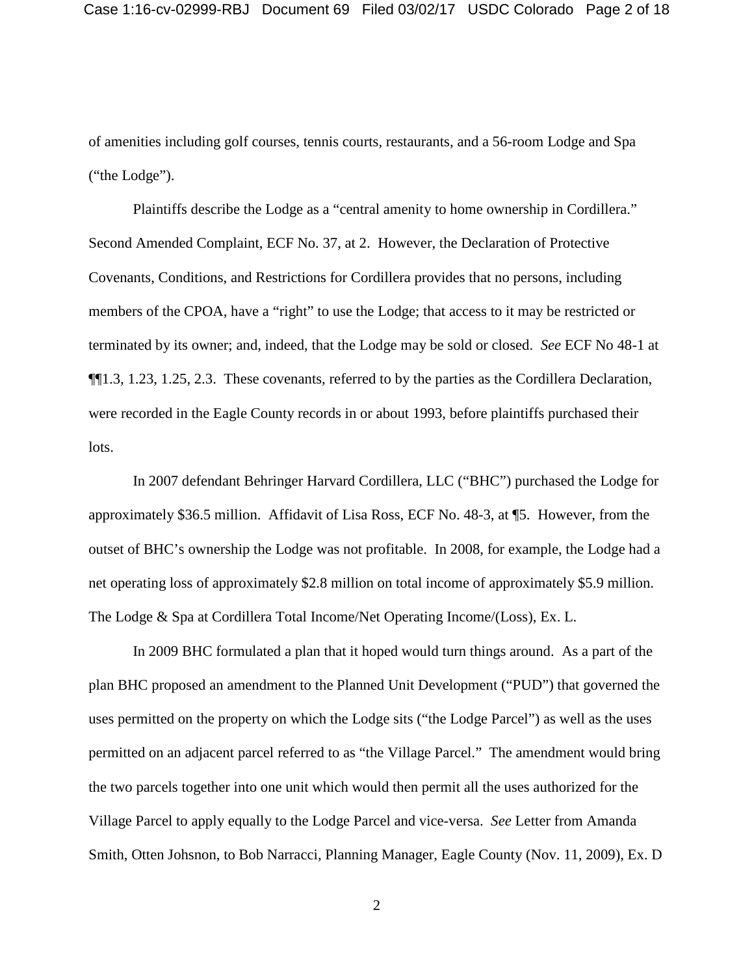of amenities including golf courses, tennis courts, restaurants, and a 56-room Lodge and Spa ("the Lodge").

Plaintiffs describe the Lodge as a "central amenity to home ownership in Cordillera." Second Amended Complaint, ECF No. 37, at 2. However, the Declaration of Protective Covenants, Conditions, and Restrictions for Cordillera provides that no persons, including members of the CPOA, have a "right" to use the Lodge; that access to it may be restricted or terminated by its owner; and, indeed, that the Lodge may be sold or closed. *See* ECF No 48-1 at ¶¶1.3, 1.23, 1.25, 2.3. These covenants, referred to by the parties as the Cordillera Declaration, were recorded in the Eagle County records in or about 1993, before plaintiffs purchased their lots.

In 2007 defendant Behringer Harvard Cordillera, LLC ("BHC") purchased the Lodge for approximately \$36.5 million. Affidavit of Lisa Ross, ECF No. 48-3, at ¶5. However, from the outset of BHC's ownership the Lodge was not profitable. In 2008, for example, the Lodge had a net operating loss of approximately \$2.8 million on total income of approximately \$5.9 million. The Lodge & Spa at Cordillera Total Income/Net Operating Income/(Loss), Ex. L.

In 2009 BHC formulated a plan that it hoped would turn things around. As a part of the plan BHC proposed an amendment to the Planned Unit Development ("PUD") that governed the uses permitted on the property on which the Lodge sits ("the Lodge Parcel") as well as the uses permitted on an adjacent parcel referred to as "the Village Parcel." The amendment would bring the two parcels together into one unit which would then permit all the uses authorized for the Village Parcel to apply equally to the Lodge Parcel and vice-versa. *See* Letter from Amanda Smith, Otten Johsnon, to Bob Narracci, Planning Manager, Eagle County (Nov. 11, 2009), Ex. D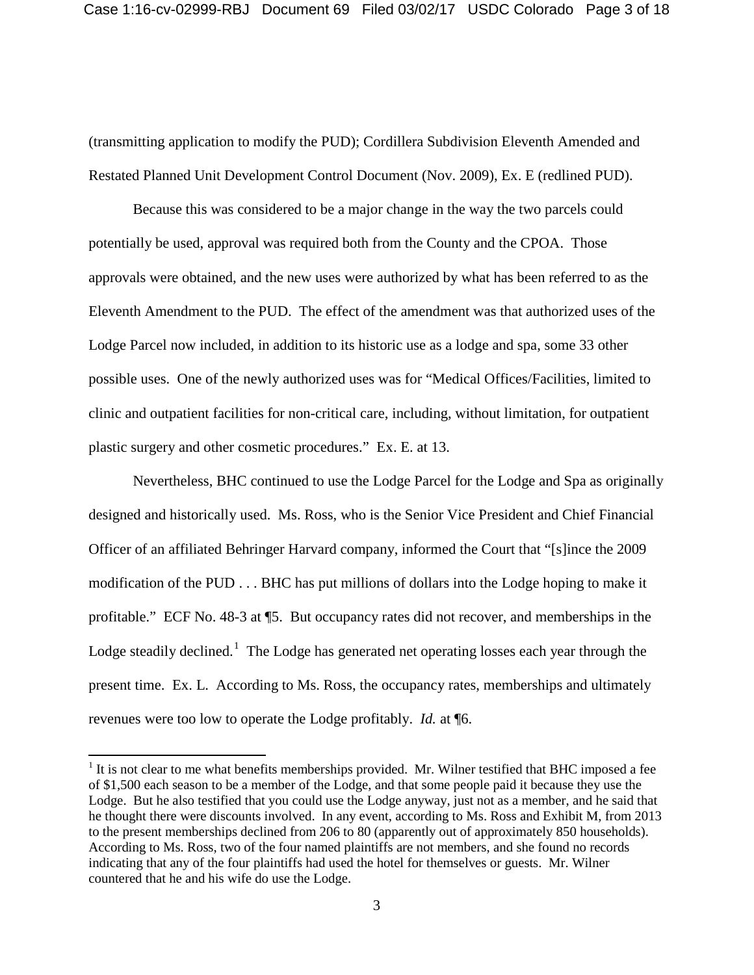(transmitting application to modify the PUD); Cordillera Subdivision Eleventh Amended and Restated Planned Unit Development Control Document (Nov. 2009), Ex. E (redlined PUD).

Because this was considered to be a major change in the way the two parcels could potentially be used, approval was required both from the County and the CPOA. Those approvals were obtained, and the new uses were authorized by what has been referred to as the Eleventh Amendment to the PUD. The effect of the amendment was that authorized uses of the Lodge Parcel now included, in addition to its historic use as a lodge and spa, some 33 other possible uses. One of the newly authorized uses was for "Medical Offices/Facilities, limited to clinic and outpatient facilities for non-critical care, including, without limitation, for outpatient plastic surgery and other cosmetic procedures." Ex. E. at 13.

Nevertheless, BHC continued to use the Lodge Parcel for the Lodge and Spa as originally designed and historically used. Ms. Ross, who is the Senior Vice President and Chief Financial Officer of an affiliated Behringer Harvard company, informed the Court that "[s]ince the 2009 modification of the PUD . . . BHC has put millions of dollars into the Lodge hoping to make it profitable." ECF No. 48-3 at ¶5. But occupancy rates did not recover, and memberships in the Lodge steadily declined.<sup>[1](#page-2-0)</sup> The Lodge has generated net operating losses each year through the present time. Ex. L. According to Ms. Ross, the occupancy rates, memberships and ultimately revenues were too low to operate the Lodge profitably. *Id.* at ¶6.

<span id="page-2-0"></span> $<sup>1</sup>$  It is not clear to me what benefits memberships provided. Mr. Wilner testified that BHC imposed a fee</sup> of \$1,500 each season to be a member of the Lodge, and that some people paid it because they use the Lodge. But he also testified that you could use the Lodge anyway, just not as a member, and he said that he thought there were discounts involved. In any event, according to Ms. Ross and Exhibit M, from 2013 to the present memberships declined from 206 to 80 (apparently out of approximately 850 households). According to Ms. Ross, two of the four named plaintiffs are not members, and she found no records indicating that any of the four plaintiffs had used the hotel for themselves or guests. Mr. Wilner countered that he and his wife do use the Lodge.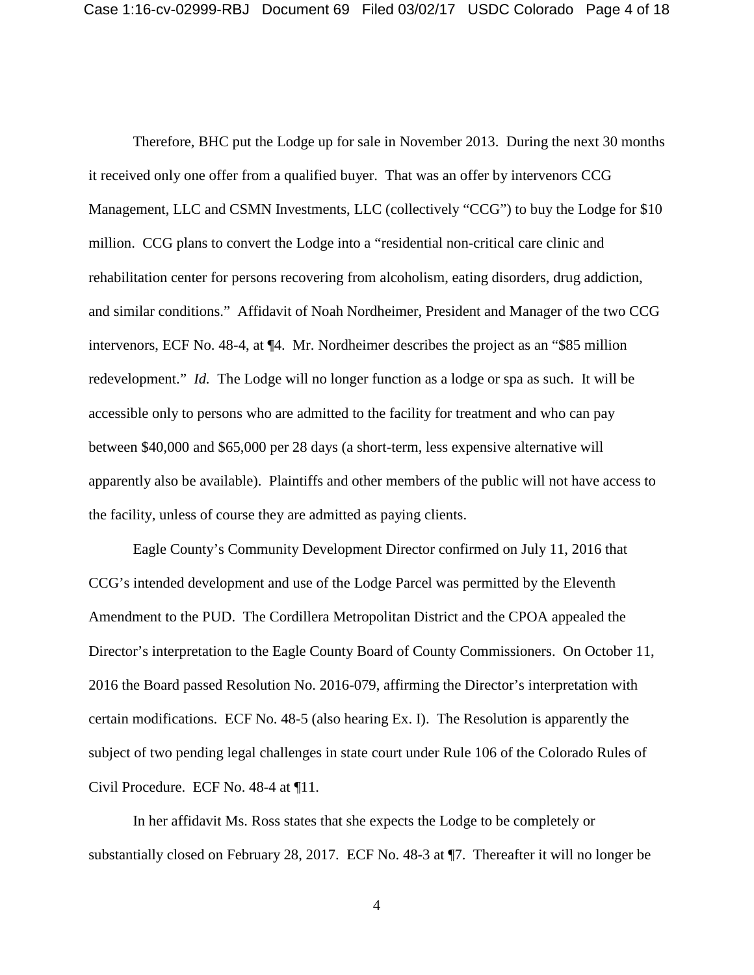Therefore, BHC put the Lodge up for sale in November 2013. During the next 30 months it received only one offer from a qualified buyer. That was an offer by intervenors CCG Management, LLC and CSMN Investments, LLC (collectively "CCG") to buy the Lodge for \$10 million. CCG plans to convert the Lodge into a "residential non-critical care clinic and rehabilitation center for persons recovering from alcoholism, eating disorders, drug addiction, and similar conditions." Affidavit of Noah Nordheimer, President and Manager of the two CCG intervenors, ECF No. 48-4, at ¶4. Mr. Nordheimer describes the project as an "\$85 million redevelopment." *Id.* The Lodge will no longer function as a lodge or spa as such. It will be accessible only to persons who are admitted to the facility for treatment and who can pay between \$40,000 and \$65,000 per 28 days (a short-term, less expensive alternative will apparently also be available). Plaintiffs and other members of the public will not have access to the facility, unless of course they are admitted as paying clients.

Eagle County's Community Development Director confirmed on July 11, 2016 that CCG's intended development and use of the Lodge Parcel was permitted by the Eleventh Amendment to the PUD. The Cordillera Metropolitan District and the CPOA appealed the Director's interpretation to the Eagle County Board of County Commissioners. On October 11, 2016 the Board passed Resolution No. 2016-079, affirming the Director's interpretation with certain modifications. ECF No. 48-5 (also hearing Ex. I). The Resolution is apparently the subject of two pending legal challenges in state court under Rule 106 of the Colorado Rules of Civil Procedure. ECF No. 48-4 at ¶11.

In her affidavit Ms. Ross states that she expects the Lodge to be completely or substantially closed on February 28, 2017. ECF No. 48-3 at ¶7. Thereafter it will no longer be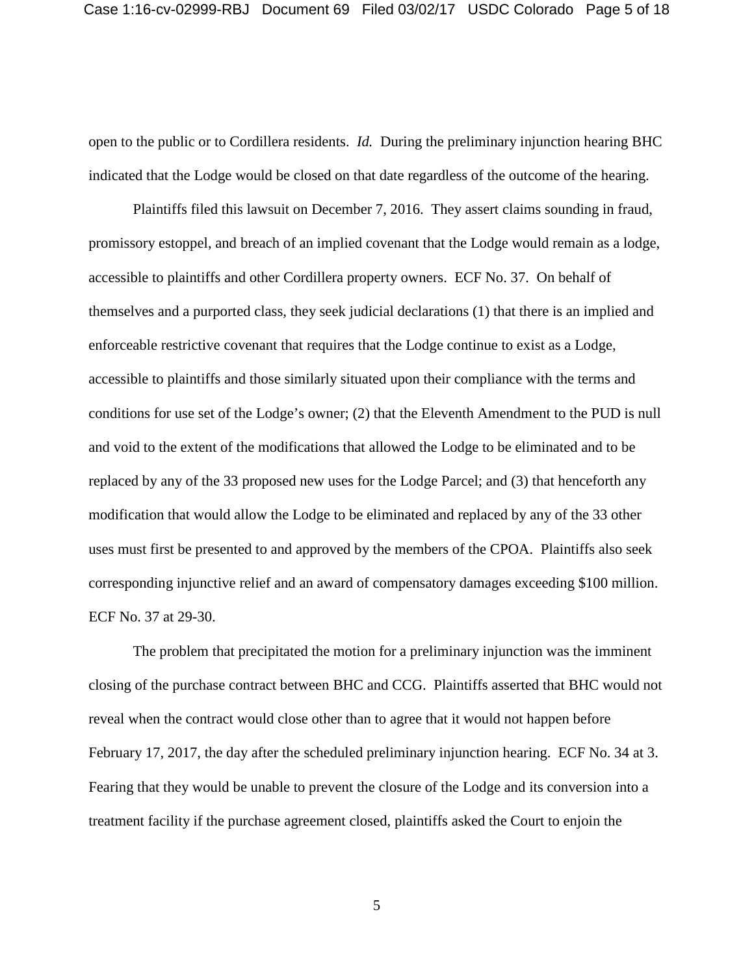open to the public or to Cordillera residents. *Id.* During the preliminary injunction hearing BHC indicated that the Lodge would be closed on that date regardless of the outcome of the hearing.

Plaintiffs filed this lawsuit on December 7, 2016. They assert claims sounding in fraud, promissory estoppel, and breach of an implied covenant that the Lodge would remain as a lodge, accessible to plaintiffs and other Cordillera property owners. ECF No. 37. On behalf of themselves and a purported class, they seek judicial declarations (1) that there is an implied and enforceable restrictive covenant that requires that the Lodge continue to exist as a Lodge, accessible to plaintiffs and those similarly situated upon their compliance with the terms and conditions for use set of the Lodge's owner; (2) that the Eleventh Amendment to the PUD is null and void to the extent of the modifications that allowed the Lodge to be eliminated and to be replaced by any of the 33 proposed new uses for the Lodge Parcel; and (3) that henceforth any modification that would allow the Lodge to be eliminated and replaced by any of the 33 other uses must first be presented to and approved by the members of the CPOA. Plaintiffs also seek corresponding injunctive relief and an award of compensatory damages exceeding \$100 million. ECF No. 37 at 29-30.

The problem that precipitated the motion for a preliminary injunction was the imminent closing of the purchase contract between BHC and CCG. Plaintiffs asserted that BHC would not reveal when the contract would close other than to agree that it would not happen before February 17, 2017, the day after the scheduled preliminary injunction hearing. ECF No. 34 at 3. Fearing that they would be unable to prevent the closure of the Lodge and its conversion into a treatment facility if the purchase agreement closed, plaintiffs asked the Court to enjoin the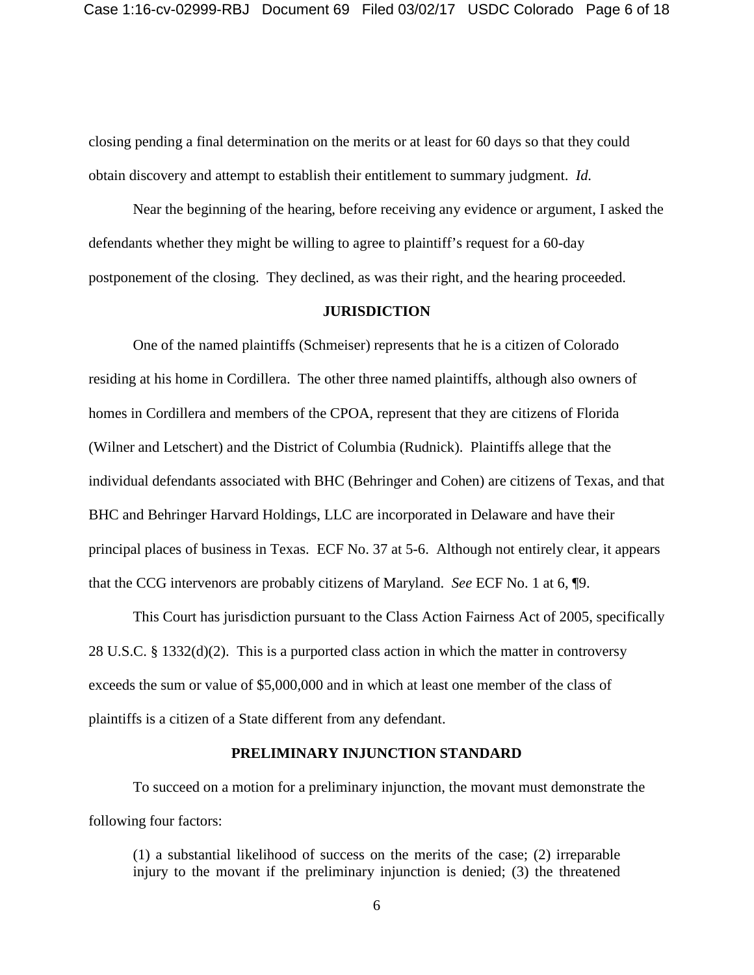closing pending a final determination on the merits or at least for 60 days so that they could obtain discovery and attempt to establish their entitlement to summary judgment. *Id.* 

Near the beginning of the hearing, before receiving any evidence or argument, I asked the defendants whether they might be willing to agree to plaintiff's request for a 60-day postponement of the closing. They declined, as was their right, and the hearing proceeded.

### **JURISDICTION**

One of the named plaintiffs (Schmeiser) represents that he is a citizen of Colorado residing at his home in Cordillera. The other three named plaintiffs, although also owners of homes in Cordillera and members of the CPOA, represent that they are citizens of Florida (Wilner and Letschert) and the District of Columbia (Rudnick). Plaintiffs allege that the individual defendants associated with BHC (Behringer and Cohen) are citizens of Texas, and that BHC and Behringer Harvard Holdings, LLC are incorporated in Delaware and have their principal places of business in Texas. ECF No. 37 at 5-6. Although not entirely clear, it appears that the CCG intervenors are probably citizens of Maryland. *See* ECF No. 1 at 6, ¶9.

This Court has jurisdiction pursuant to the Class Action Fairness Act of 2005, specifically 28 U.S.C. § 1332(d)(2). This is a purported class action in which the matter in controversy exceeds the sum or value of \$5,000,000 and in which at least one member of the class of plaintiffs is a citizen of a State different from any defendant.

### **PRELIMINARY INJUNCTION STANDARD**

To succeed on a motion for a preliminary injunction, the movant must demonstrate the following four factors:

(1) a substantial likelihood of success on the merits of the case; (2) irreparable injury to the movant if the preliminary injunction is denied; (3) the threatened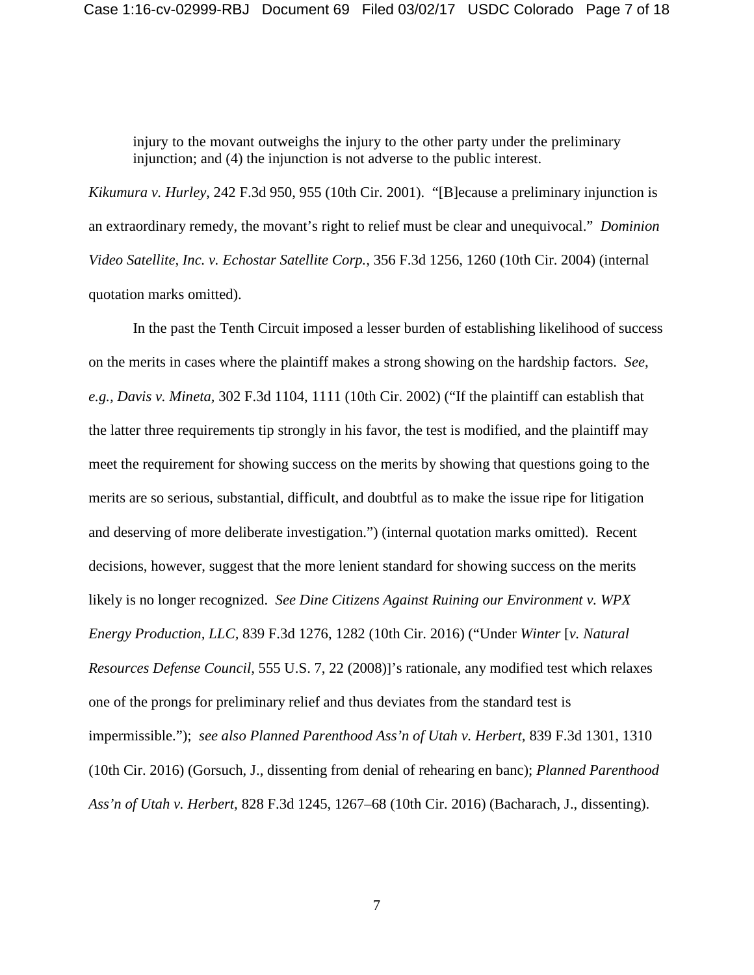injury to the movant outweighs the injury to the other party under the preliminary injunction; and (4) the injunction is not adverse to the public interest.

*Kikumura v. Hurley*, 242 F.3d 950, 955 (10th Cir. 2001). "[B]ecause a preliminary injunction is an extraordinary remedy, the movant's right to relief must be clear and unequivocal." *Dominion Video Satellite, Inc. v. Echostar Satellite Corp.,* 356 F.3d 1256, 1260 (10th Cir. 2004) (internal quotation marks omitted).

In the past the Tenth Circuit imposed a lesser burden of establishing likelihood of success on the merits in cases where the plaintiff makes a strong showing on the hardship factors. *See, e.g., Davis v. Mineta,* 302 F.3d 1104, 1111 (10th Cir. 2002) ("If the plaintiff can establish that the latter three requirements tip strongly in his favor, the test is modified, and the plaintiff may meet the requirement for showing success on the merits by showing that questions going to the merits are so serious, substantial, difficult, and doubtful as to make the issue ripe for litigation and deserving of more deliberate investigation.") (internal quotation marks omitted). Recent decisions, however, suggest that the more lenient standard for showing success on the merits likely is no longer recognized. *See Dine Citizens Against Ruining our Environment v. WPX Energy Production, LLC,* 839 F.3d 1276, 1282 (10th Cir. 2016) ("Under *Winter* [*v. Natural Resources Defense Council,* 555 U.S. 7, 22 (2008)]'s rationale, any modified test which relaxes one of the prongs for preliminary relief and thus deviates from the standard test is impermissible."); *see also Planned Parenthood Ass'n of Utah v. Herbert,* 839 F.3d 1301, 1310 (10th Cir. 2016) (Gorsuch, J., dissenting from denial of rehearing en banc); *Planned Parenthood Ass'n of Utah v. Herbert,* 828 F.3d 1245, 1267–68 (10th Cir. 2016) (Bacharach, J., dissenting).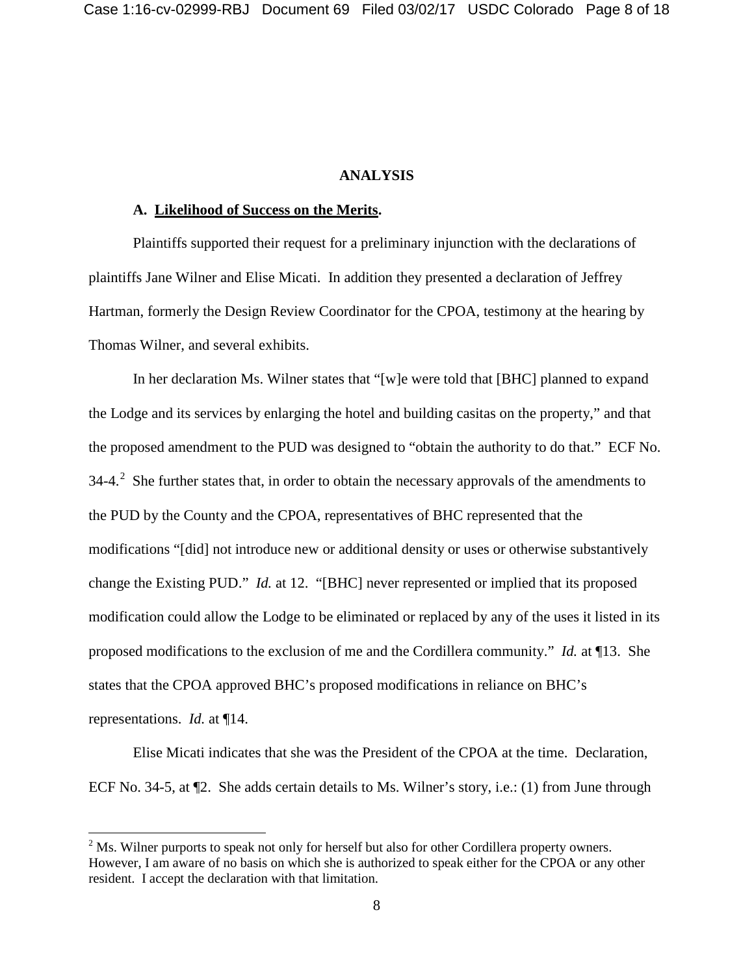#### **ANALYSIS**

#### **A. Likelihood of Success on the Merits.**

Plaintiffs supported their request for a preliminary injunction with the declarations of plaintiffs Jane Wilner and Elise Micati. In addition they presented a declaration of Jeffrey Hartman, formerly the Design Review Coordinator for the CPOA, testimony at the hearing by Thomas Wilner, and several exhibits.

In her declaration Ms. Wilner states that "[w]e were told that [BHC] planned to expand the Lodge and its services by enlarging the hotel and building casitas on the property," and that the proposed amendment to the PUD was designed to "obtain the authority to do that." ECF No. 34-4. $^2$  $^2$  She further states that, in order to obtain the necessary approvals of the amendments to the PUD by the County and the CPOA, representatives of BHC represented that the modifications "[did] not introduce new or additional density or uses or otherwise substantively change the Existing PUD." *Id.* at 12. "[BHC] never represented or implied that its proposed modification could allow the Lodge to be eliminated or replaced by any of the uses it listed in its proposed modifications to the exclusion of me and the Cordillera community." *Id.* at ¶13. She states that the CPOA approved BHC's proposed modifications in reliance on BHC's representations. *Id.* at ¶14.

Elise Micati indicates that she was the President of the CPOA at the time. Declaration, ECF No. 34-5, at ¶2. She adds certain details to Ms. Wilner's story, i.e.: (1) from June through

<span id="page-7-0"></span> $<sup>2</sup>$  Ms. Wilner purports to speak not only for herself but also for other Cordillera property owners.</sup> However, I am aware of no basis on which she is authorized to speak either for the CPOA or any other resident. I accept the declaration with that limitation.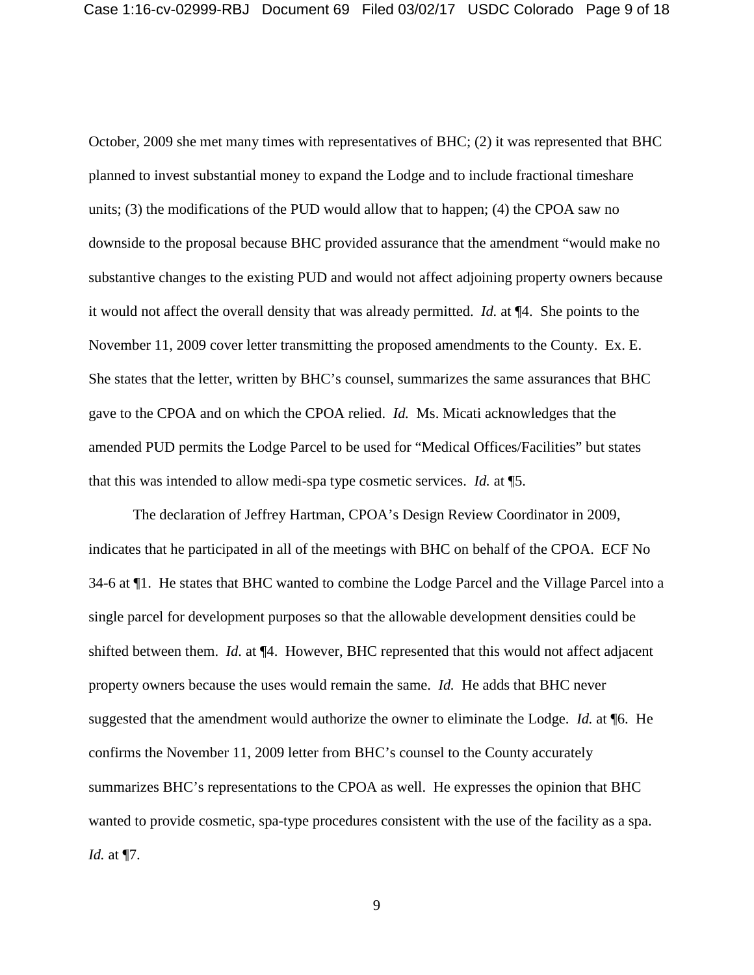October, 2009 she met many times with representatives of BHC; (2) it was represented that BHC planned to invest substantial money to expand the Lodge and to include fractional timeshare units; (3) the modifications of the PUD would allow that to happen; (4) the CPOA saw no downside to the proposal because BHC provided assurance that the amendment "would make no substantive changes to the existing PUD and would not affect adjoining property owners because it would not affect the overall density that was already permitted. *Id.* at ¶4. She points to the November 11, 2009 cover letter transmitting the proposed amendments to the County. Ex. E. She states that the letter, written by BHC's counsel, summarizes the same assurances that BHC gave to the CPOA and on which the CPOA relied. *Id.* Ms. Micati acknowledges that the amended PUD permits the Lodge Parcel to be used for "Medical Offices/Facilities" but states that this was intended to allow medi-spa type cosmetic services. *Id.* at ¶5.

The declaration of Jeffrey Hartman, CPOA's Design Review Coordinator in 2009, indicates that he participated in all of the meetings with BHC on behalf of the CPOA. ECF No 34-6 at ¶1. He states that BHC wanted to combine the Lodge Parcel and the Village Parcel into a single parcel for development purposes so that the allowable development densities could be shifted between them. *Id.* at ¶4. However, BHC represented that this would not affect adjacent property owners because the uses would remain the same. *Id.* He adds that BHC never suggested that the amendment would authorize the owner to eliminate the Lodge. *Id.* at ¶6. He confirms the November 11, 2009 letter from BHC's counsel to the County accurately summarizes BHC's representations to the CPOA as well. He expresses the opinion that BHC wanted to provide cosmetic, spa-type procedures consistent with the use of the facility as a spa. *Id.* at ¶7.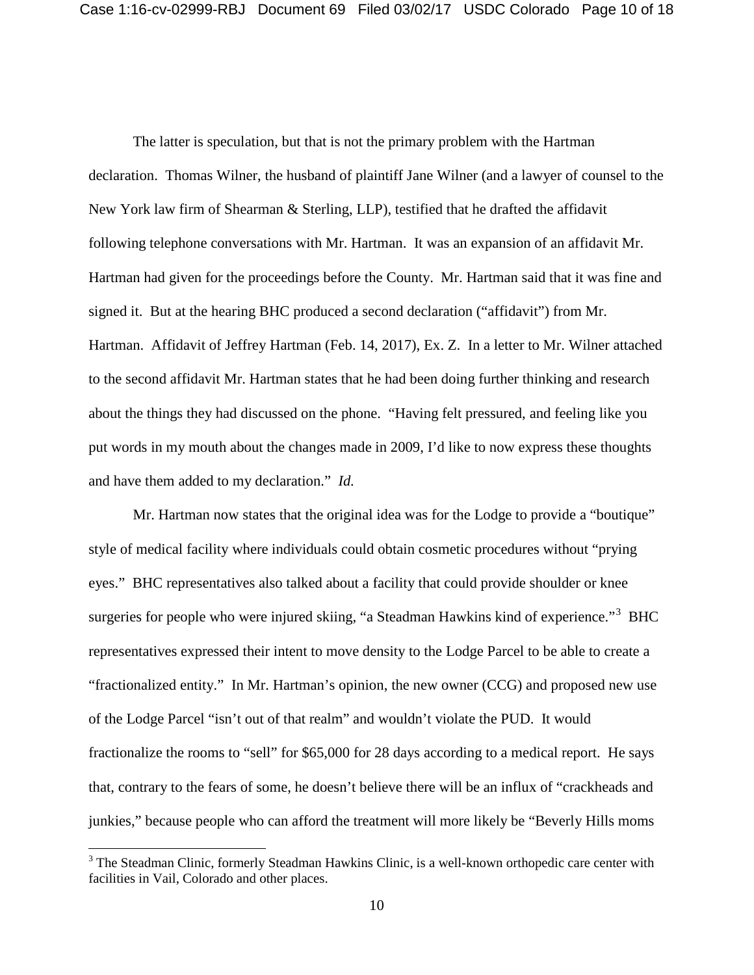The latter is speculation, but that is not the primary problem with the Hartman declaration. Thomas Wilner, the husband of plaintiff Jane Wilner (and a lawyer of counsel to the New York law firm of Shearman & Sterling, LLP), testified that he drafted the affidavit following telephone conversations with Mr. Hartman. It was an expansion of an affidavit Mr. Hartman had given for the proceedings before the County. Mr. Hartman said that it was fine and signed it. But at the hearing BHC produced a second declaration ("affidavit") from Mr. Hartman. Affidavit of Jeffrey Hartman (Feb. 14, 2017), Ex. Z. In a letter to Mr. Wilner attached to the second affidavit Mr. Hartman states that he had been doing further thinking and research about the things they had discussed on the phone. "Having felt pressured, and feeling like you put words in my mouth about the changes made in 2009, I'd like to now express these thoughts and have them added to my declaration." *Id.* 

Mr. Hartman now states that the original idea was for the Lodge to provide a "boutique" style of medical facility where individuals could obtain cosmetic procedures without "prying eyes." BHC representatives also talked about a facility that could provide shoulder or knee surgeries for people who were injured skiing, "a Steadman Hawkins kind of experience."<sup>[3](#page-9-0)</sup> BHC representatives expressed their intent to move density to the Lodge Parcel to be able to create a "fractionalized entity." In Mr. Hartman's opinion, the new owner (CCG) and proposed new use of the Lodge Parcel "isn't out of that realm" and wouldn't violate the PUD. It would fractionalize the rooms to "sell" for \$65,000 for 28 days according to a medical report. He says that, contrary to the fears of some, he doesn't believe there will be an influx of "crackheads and junkies," because people who can afford the treatment will more likely be "Beverly Hills moms

<span id="page-9-0"></span><sup>&</sup>lt;sup>3</sup> The Steadman Clinic, formerly Steadman Hawkins Clinic, is a well-known orthopedic care center with facilities in Vail, Colorado and other places.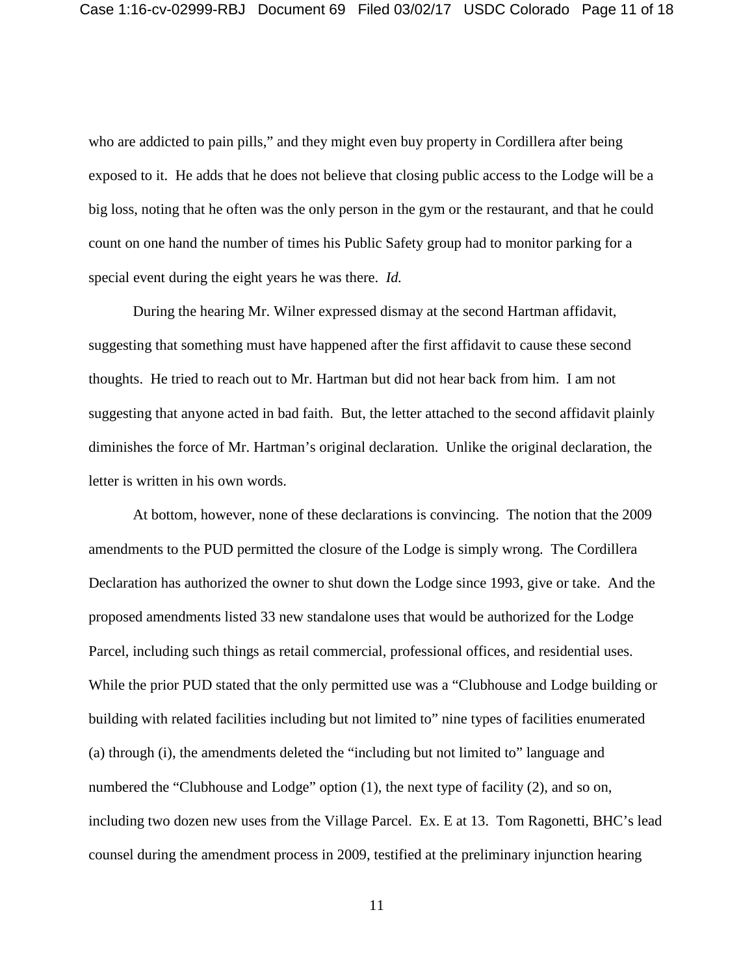who are addicted to pain pills," and they might even buy property in Cordillera after being exposed to it. He adds that he does not believe that closing public access to the Lodge will be a big loss, noting that he often was the only person in the gym or the restaurant, and that he could count on one hand the number of times his Public Safety group had to monitor parking for a special event during the eight years he was there. *Id.* 

During the hearing Mr. Wilner expressed dismay at the second Hartman affidavit, suggesting that something must have happened after the first affidavit to cause these second thoughts. He tried to reach out to Mr. Hartman but did not hear back from him. I am not suggesting that anyone acted in bad faith. But, the letter attached to the second affidavit plainly diminishes the force of Mr. Hartman's original declaration. Unlike the original declaration, the letter is written in his own words.

At bottom, however, none of these declarations is convincing. The notion that the 2009 amendments to the PUD permitted the closure of the Lodge is simply wrong. The Cordillera Declaration has authorized the owner to shut down the Lodge since 1993, give or take. And the proposed amendments listed 33 new standalone uses that would be authorized for the Lodge Parcel, including such things as retail commercial, professional offices, and residential uses. While the prior PUD stated that the only permitted use was a "Clubhouse and Lodge building or building with related facilities including but not limited to" nine types of facilities enumerated (a) through (i), the amendments deleted the "including but not limited to" language and numbered the "Clubhouse and Lodge" option (1), the next type of facility (2), and so on, including two dozen new uses from the Village Parcel. Ex. E at 13. Tom Ragonetti, BHC's lead counsel during the amendment process in 2009, testified at the preliminary injunction hearing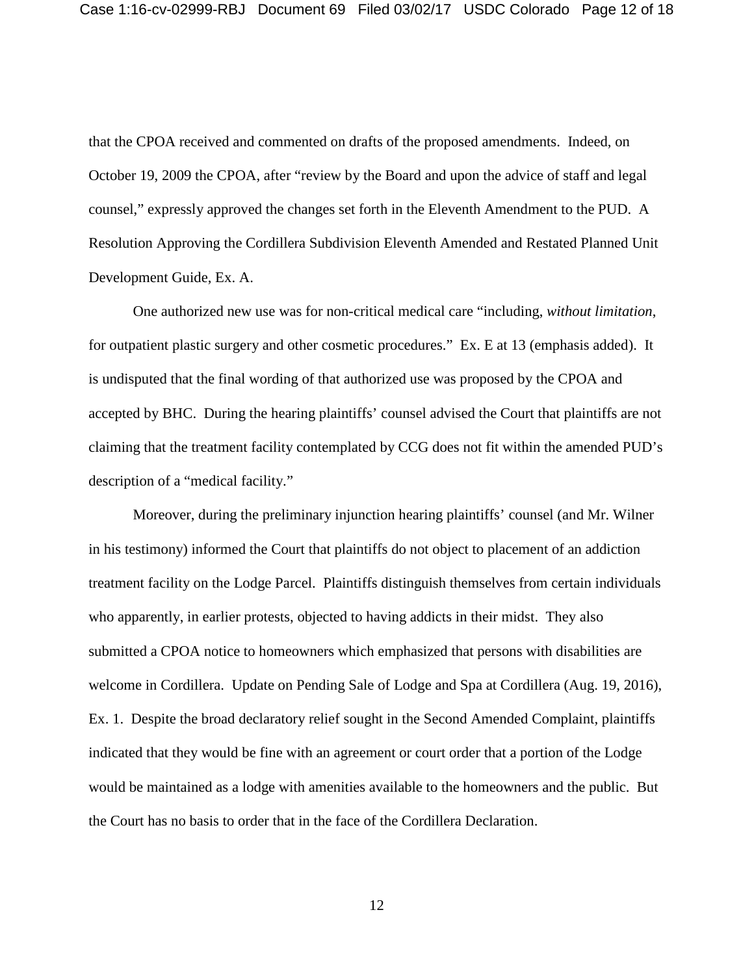that the CPOA received and commented on drafts of the proposed amendments. Indeed, on October 19, 2009 the CPOA, after "review by the Board and upon the advice of staff and legal counsel," expressly approved the changes set forth in the Eleventh Amendment to the PUD. A Resolution Approving the Cordillera Subdivision Eleventh Amended and Restated Planned Unit Development Guide, Ex. A.

One authorized new use was for non-critical medical care "including, *without limitation*, for outpatient plastic surgery and other cosmetic procedures." Ex. E at 13 (emphasis added). It is undisputed that the final wording of that authorized use was proposed by the CPOA and accepted by BHC. During the hearing plaintiffs' counsel advised the Court that plaintiffs are not claiming that the treatment facility contemplated by CCG does not fit within the amended PUD's description of a "medical facility."

Moreover, during the preliminary injunction hearing plaintiffs' counsel (and Mr. Wilner in his testimony) informed the Court that plaintiffs do not object to placement of an addiction treatment facility on the Lodge Parcel. Plaintiffs distinguish themselves from certain individuals who apparently, in earlier protests, objected to having addicts in their midst. They also submitted a CPOA notice to homeowners which emphasized that persons with disabilities are welcome in Cordillera. Update on Pending Sale of Lodge and Spa at Cordillera (Aug. 19, 2016), Ex. 1. Despite the broad declaratory relief sought in the Second Amended Complaint, plaintiffs indicated that they would be fine with an agreement or court order that a portion of the Lodge would be maintained as a lodge with amenities available to the homeowners and the public. But the Court has no basis to order that in the face of the Cordillera Declaration.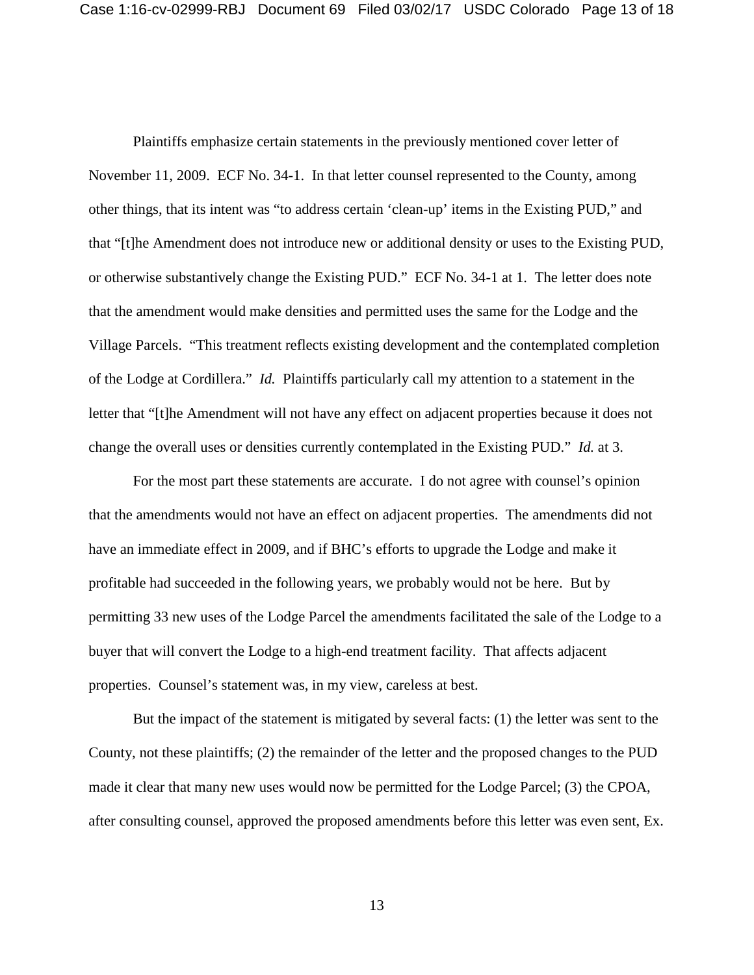Plaintiffs emphasize certain statements in the previously mentioned cover letter of November 11, 2009. ECF No. 34-1. In that letter counsel represented to the County, among other things, that its intent was "to address certain 'clean-up' items in the Existing PUD," and that "[t]he Amendment does not introduce new or additional density or uses to the Existing PUD, or otherwise substantively change the Existing PUD." ECF No. 34-1 at 1. The letter does note that the amendment would make densities and permitted uses the same for the Lodge and the Village Parcels. "This treatment reflects existing development and the contemplated completion of the Lodge at Cordillera." *Id.* Plaintiffs particularly call my attention to a statement in the letter that "[t]he Amendment will not have any effect on adjacent properties because it does not change the overall uses or densities currently contemplated in the Existing PUD." *Id.* at 3.

For the most part these statements are accurate. I do not agree with counsel's opinion that the amendments would not have an effect on adjacent properties. The amendments did not have an immediate effect in 2009, and if BHC's efforts to upgrade the Lodge and make it profitable had succeeded in the following years, we probably would not be here. But by permitting 33 new uses of the Lodge Parcel the amendments facilitated the sale of the Lodge to a buyer that will convert the Lodge to a high-end treatment facility. That affects adjacent properties. Counsel's statement was, in my view, careless at best.

But the impact of the statement is mitigated by several facts: (1) the letter was sent to the County, not these plaintiffs; (2) the remainder of the letter and the proposed changes to the PUD made it clear that many new uses would now be permitted for the Lodge Parcel; (3) the CPOA, after consulting counsel, approved the proposed amendments before this letter was even sent, Ex.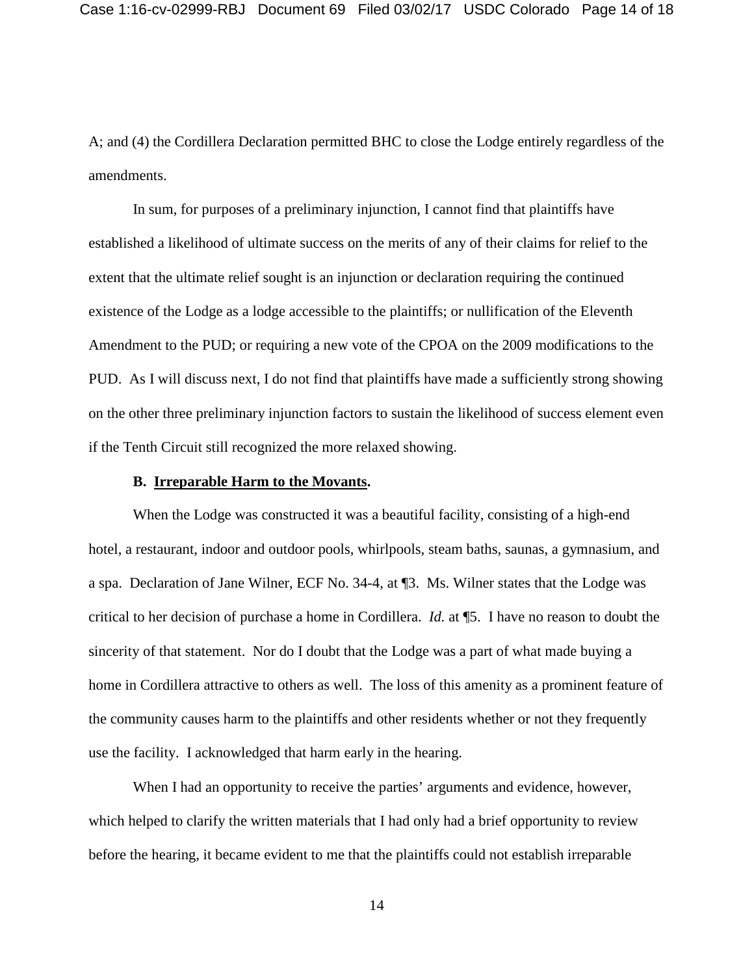A; and (4) the Cordillera Declaration permitted BHC to close the Lodge entirely regardless of the amendments.

In sum, for purposes of a preliminary injunction, I cannot find that plaintiffs have established a likelihood of ultimate success on the merits of any of their claims for relief to the extent that the ultimate relief sought is an injunction or declaration requiring the continued existence of the Lodge as a lodge accessible to the plaintiffs; or nullification of the Eleventh Amendment to the PUD; or requiring a new vote of the CPOA on the 2009 modifications to the PUD. As I will discuss next, I do not find that plaintiffs have made a sufficiently strong showing on the other three preliminary injunction factors to sustain the likelihood of success element even if the Tenth Circuit still recognized the more relaxed showing.

#### **B. Irreparable Harm to the Movants.**

When the Lodge was constructed it was a beautiful facility, consisting of a high-end hotel, a restaurant, indoor and outdoor pools, whirlpools, steam baths, saunas, a gymnasium, and a spa. Declaration of Jane Wilner, ECF No. 34-4, at ¶3. Ms. Wilner states that the Lodge was critical to her decision of purchase a home in Cordillera. *Id.* at ¶5. I have no reason to doubt the sincerity of that statement. Nor do I doubt that the Lodge was a part of what made buying a home in Cordillera attractive to others as well. The loss of this amenity as a prominent feature of the community causes harm to the plaintiffs and other residents whether or not they frequently use the facility. I acknowledged that harm early in the hearing.

When I had an opportunity to receive the parties' arguments and evidence, however, which helped to clarify the written materials that I had only had a brief opportunity to review before the hearing, it became evident to me that the plaintiffs could not establish irreparable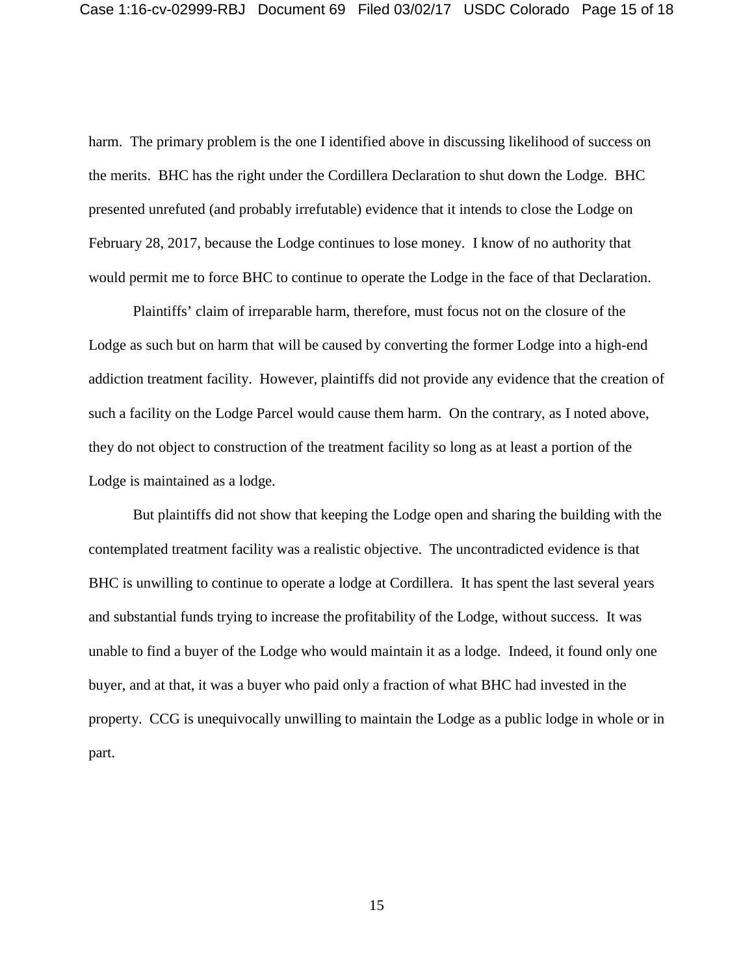harm. The primary problem is the one I identified above in discussing likelihood of success on the merits. BHC has the right under the Cordillera Declaration to shut down the Lodge. BHC presented unrefuted (and probably irrefutable) evidence that it intends to close the Lodge on February 28, 2017, because the Lodge continues to lose money. I know of no authority that would permit me to force BHC to continue to operate the Lodge in the face of that Declaration.

Plaintiffs' claim of irreparable harm, therefore, must focus not on the closure of the Lodge as such but on harm that will be caused by converting the former Lodge into a high-end addiction treatment facility. However, plaintiffs did not provide any evidence that the creation of such a facility on the Lodge Parcel would cause them harm. On the contrary, as I noted above, they do not object to construction of the treatment facility so long as at least a portion of the Lodge is maintained as a lodge.

But plaintiffs did not show that keeping the Lodge open and sharing the building with the contemplated treatment facility was a realistic objective. The uncontradicted evidence is that BHC is unwilling to continue to operate a lodge at Cordillera. It has spent the last several years and substantial funds trying to increase the profitability of the Lodge, without success. It was unable to find a buyer of the Lodge who would maintain it as a lodge. Indeed, it found only one buyer, and at that, it was a buyer who paid only a fraction of what BHC had invested in the property. CCG is unequivocally unwilling to maintain the Lodge as a public lodge in whole or in part.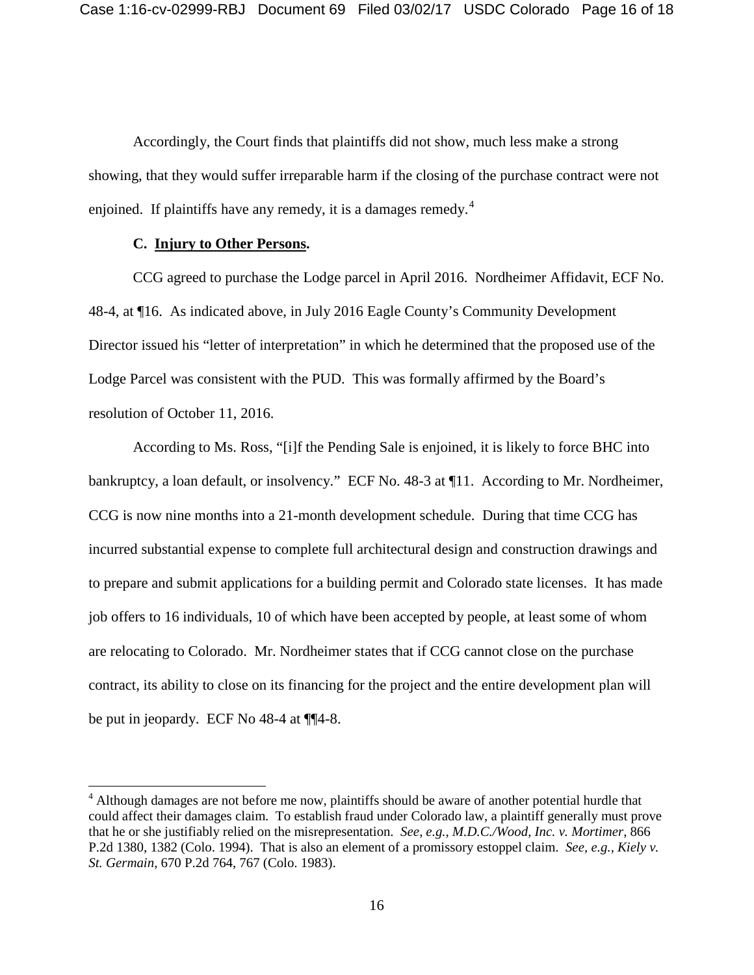Accordingly, the Court finds that plaintiffs did not show, much less make a strong showing, that they would suffer irreparable harm if the closing of the purchase contract were not enjoined. If plaintiffs have any remedy, it is a damages remedy.<sup>[4](#page-15-0)</sup>

## **C. Injury to Other Persons.**

CCG agreed to purchase the Lodge parcel in April 2016. Nordheimer Affidavit, ECF No. 48-4, at ¶16. As indicated above, in July 2016 Eagle County's Community Development Director issued his "letter of interpretation" in which he determined that the proposed use of the Lodge Parcel was consistent with the PUD. This was formally affirmed by the Board's resolution of October 11, 2016.

According to Ms. Ross, "[i]f the Pending Sale is enjoined, it is likely to force BHC into bankruptcy, a loan default, or insolvency." ECF No. 48-3 at ¶11. According to Mr. Nordheimer, CCG is now nine months into a 21-month development schedule. During that time CCG has incurred substantial expense to complete full architectural design and construction drawings and to prepare and submit applications for a building permit and Colorado state licenses. It has made job offers to 16 individuals, 10 of which have been accepted by people, at least some of whom are relocating to Colorado. Mr. Nordheimer states that if CCG cannot close on the purchase contract, its ability to close on its financing for the project and the entire development plan will be put in jeopardy. ECF No 48-4 at ¶¶4-8.

<span id="page-15-0"></span><sup>&</sup>lt;sup>4</sup> Although damages are not before me now, plaintiffs should be aware of another potential hurdle that could affect their damages claim. To establish fraud under Colorado law, a plaintiff generally must prove that he or she justifiably relied on the misrepresentation. *See, e.g., M.D.C./Wood, Inc. v. Mortimer*, 866 P.2d 1380, 1382 (Colo. 1994). That is also an element of a promissory estoppel claim. *See, e.g., Kiely v. St. Germain,* 670 P.2d 764, 767 (Colo. 1983).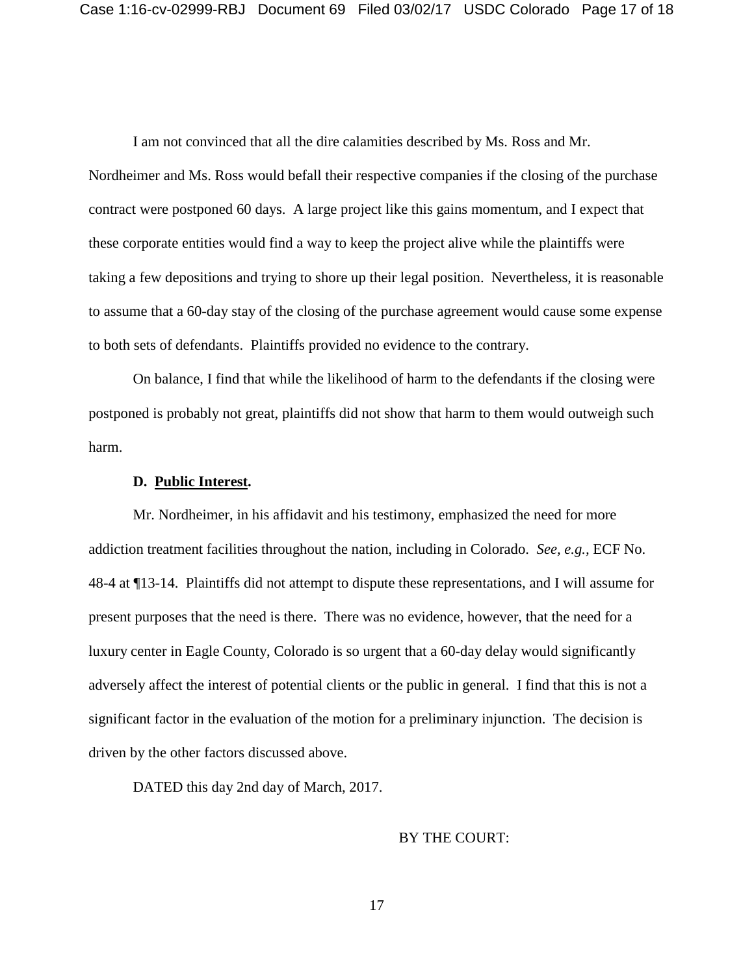I am not convinced that all the dire calamities described by Ms. Ross and Mr.

Nordheimer and Ms. Ross would befall their respective companies if the closing of the purchase contract were postponed 60 days. A large project like this gains momentum, and I expect that these corporate entities would find a way to keep the project alive while the plaintiffs were taking a few depositions and trying to shore up their legal position. Nevertheless, it is reasonable to assume that a 60-day stay of the closing of the purchase agreement would cause some expense to both sets of defendants. Plaintiffs provided no evidence to the contrary.

On balance, I find that while the likelihood of harm to the defendants if the closing were postponed is probably not great, plaintiffs did not show that harm to them would outweigh such harm.

#### **D. Public Interest.**

Mr. Nordheimer, in his affidavit and his testimony, emphasized the need for more addiction treatment facilities throughout the nation, including in Colorado. *See, e.g.,* ECF No. 48-4 at ¶13-14. Plaintiffs did not attempt to dispute these representations, and I will assume for present purposes that the need is there. There was no evidence, however, that the need for a luxury center in Eagle County, Colorado is so urgent that a 60-day delay would significantly adversely affect the interest of potential clients or the public in general. I find that this is not a significant factor in the evaluation of the motion for a preliminary injunction. The decision is driven by the other factors discussed above.

DATED this day 2nd day of March, 2017.

### BY THE COURT: